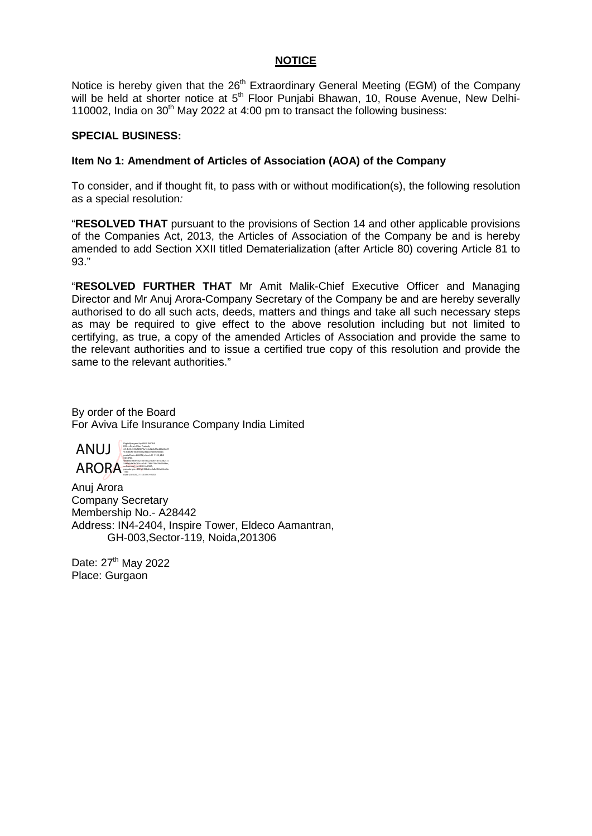# **NOTICE**

Notice is hereby given that the  $26<sup>th</sup>$  Extraordinary General Meeting (EGM) of the Company will be held at shorter notice at 5<sup>th</sup> Floor Punjabi Bhawan, 10, Rouse Avenue, New Delhi-110002, India on  $30<sup>th</sup>$  May 2022 at 4:00 pm to transact the following business:

## **SPECIAL BUSINESS:**

## **Item No 1: Amendment of Articles of Association (AOA) of the Company**

To consider, and if thought fit, to pass with or without modification(s), the following resolution as a special resolution*:*

"**RESOLVED THAT** pursuant to the provisions of Section 14 and other applicable provisions of the Companies Act, 2013, the Articles of Association of the Company be and is hereby amended to add Section XXII titled Dematerialization (after Article 80) covering Article 81 to 93."

"**RESOLVED FURTHER THAT** Mr Amit Malik-Chief Executive Officer and Managing Director and Mr Anuj Arora-Company Secretary of the Company be and are hereby severally authorised to do all such acts, deeds, matters and things and take all such necessary steps as may be required to give effect to the above resolution including but not limited to certifying, as true, a copy of the amended Articles of Association and provide the same to the relevant authorities and to issue a certified true copy of this resolution and provide the same to the relevant authorities."

By order of the Board For Aviva Life Insurance Company India Limited



Anuj Arora Company Secretary Membership No.- A28442 Address: IN4-2404, Inspire Tower, Eldeco Aamantran, GH-003,Sector-119, Noida,201306

Date: 27<sup>th</sup> May 2022 Place: Gurgaon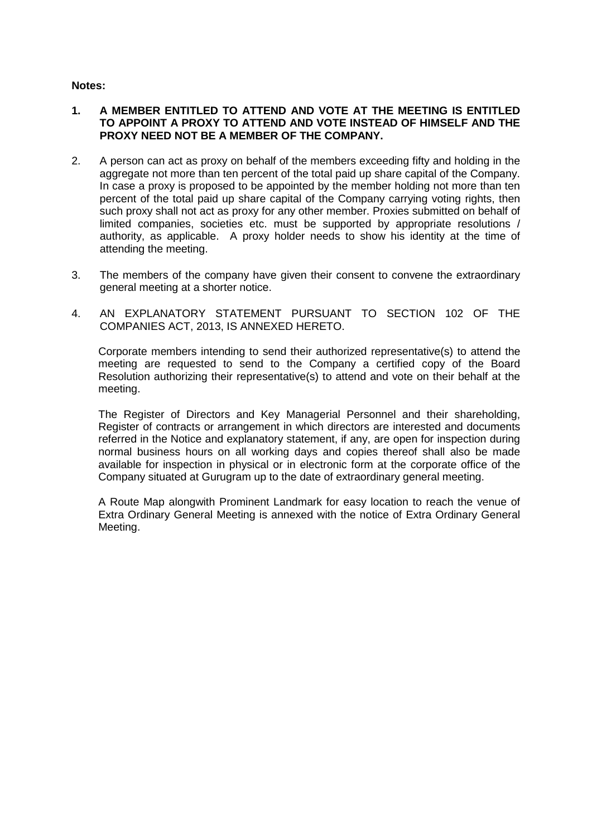### **Notes:**

# **1. A MEMBER ENTITLED TO ATTEND AND VOTE AT THE MEETING IS ENTITLED TO APPOINT A PROXY TO ATTEND AND VOTE INSTEAD OF HIMSELF AND THE PROXY NEED NOT BE A MEMBER OF THE COMPANY.**

- 2. A person can act as proxy on behalf of the members exceeding fifty and holding in the aggregate not more than ten percent of the total paid up share capital of the Company. In case a proxy is proposed to be appointed by the member holding not more than ten percent of the total paid up share capital of the Company carrying voting rights, then such proxy shall not act as proxy for any other member. Proxies submitted on behalf of limited companies, societies etc. must be supported by appropriate resolutions / authority, as applicable. A proxy holder needs to show his identity at the time of attending the meeting.
- 3. The members of the company have given their consent to convene the extraordinary general meeting at a shorter notice.
- 4. AN EXPLANATORY STATEMENT PURSUANT TO SECTION 102 OF THE COMPANIES ACT, 2013, IS ANNEXED HERETO.

Corporate members intending to send their authorized representative(s) to attend the meeting are requested to send to the Company a certified copy of the Board Resolution authorizing their representative(s) to attend and vote on their behalf at the meeting.

The Register of Directors and Key Managerial Personnel and their shareholding, Register of contracts or arrangement in which directors are interested and documents referred in the Notice and explanatory statement, if any, are open for inspection during normal business hours on all working days and copies thereof shall also be made available for inspection in physical or in electronic form at the corporate office of the Company situated at Gurugram up to the date of extraordinary general meeting.

A Route Map alongwith Prominent Landmark for easy location to reach the venue of Extra Ordinary General Meeting is annexed with the notice of Extra Ordinary General Meeting.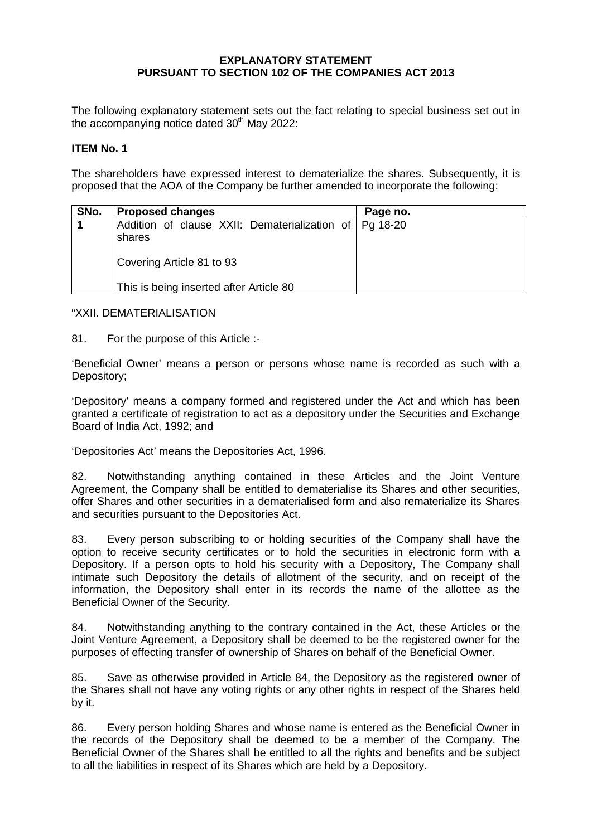# **EXPLANATORY STATEMENT PURSUANT TO SECTION 102 OF THE COMPANIES ACT 2013**

The following explanatory statement sets out the fact relating to special business set out in the accompanying notice dated  $30<sup>th</sup>$  May 2022:

#### **ITEM No. 1**

The shareholders have expressed interest to dematerialize the shares. Subsequently, it is proposed that the AOA of the Company be further amended to incorporate the following:

| SNo. | <b>Proposed changes</b>                                                                         | Page no. |
|------|-------------------------------------------------------------------------------------------------|----------|
|      | Addition of clause XXII: Dematerialization of   Pg 18-20<br>shares<br>Covering Article 81 to 93 |          |
|      | This is being inserted after Article 80                                                         |          |

"XXII. DEMATERIALISATION

81. For the purpose of this Article :-

'Beneficial Owner' means a person or persons whose name is recorded as such with a Depository;

'Depository' means a company formed and registered under the Act and which has been granted a certificate of registration to act as a depository under the Securities and Exchange Board of India Act, 1992; and

'Depositories Act' means the Depositories Act, 1996.

82. Notwithstanding anything contained in these Articles and the Joint Venture Agreement, the Company shall be entitled to dematerialise its Shares and other securities, offer Shares and other securities in a dematerialised form and also rematerialize its Shares and securities pursuant to the Depositories Act.

83. Every person subscribing to or holding securities of the Company shall have the option to receive security certificates or to hold the securities in electronic form with a Depository. If a person opts to hold his security with a Depository, The Company shall intimate such Depository the details of allotment of the security, and on receipt of the information, the Depository shall enter in its records the name of the allottee as the Beneficial Owner of the Security.

84. Notwithstanding anything to the contrary contained in the Act, these Articles or the Joint Venture Agreement, a Depository shall be deemed to be the registered owner for the purposes of effecting transfer of ownership of Shares on behalf of the Beneficial Owner.

85. Save as otherwise provided in Article 84, the Depository as the registered owner of the Shares shall not have any voting rights or any other rights in respect of the Shares held by it.

86. Every person holding Shares and whose name is entered as the Beneficial Owner in the records of the Depository shall be deemed to be a member of the Company. The Beneficial Owner of the Shares shall be entitled to all the rights and benefits and be subject to all the liabilities in respect of its Shares which are held by a Depository.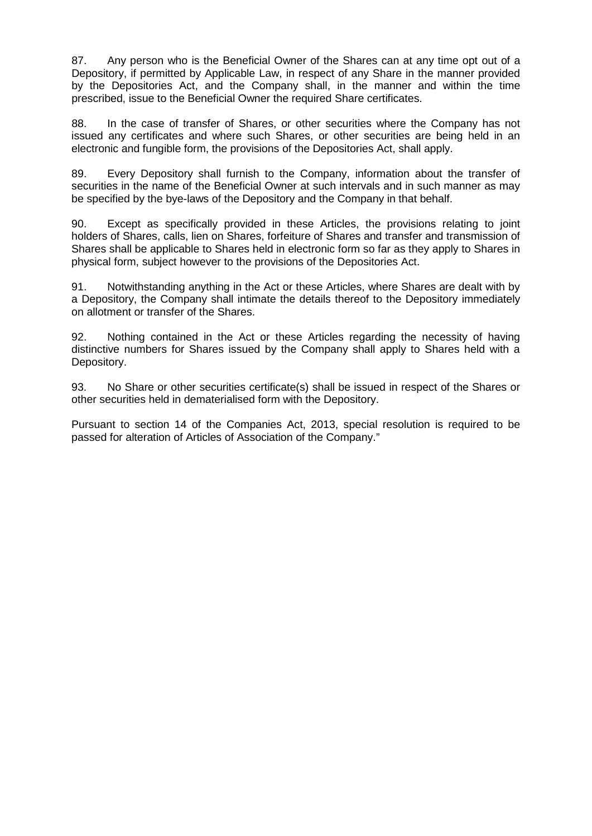87. Any person who is the Beneficial Owner of the Shares can at any time opt out of a Depository, if permitted by Applicable Law, in respect of any Share in the manner provided by the Depositories Act, and the Company shall, in the manner and within the time prescribed, issue to the Beneficial Owner the required Share certificates.

88. In the case of transfer of Shares, or other securities where the Company has not issued any certificates and where such Shares, or other securities are being held in an electronic and fungible form, the provisions of the Depositories Act, shall apply.

89. Every Depository shall furnish to the Company, information about the transfer of securities in the name of the Beneficial Owner at such intervals and in such manner as may be specified by the bye-laws of the Depository and the Company in that behalf.

90. Except as specifically provided in these Articles, the provisions relating to joint holders of Shares, calls, lien on Shares, forfeiture of Shares and transfer and transmission of Shares shall be applicable to Shares held in electronic form so far as they apply to Shares in physical form, subject however to the provisions of the Depositories Act.

91. Notwithstanding anything in the Act or these Articles, where Shares are dealt with by a Depository, the Company shall intimate the details thereof to the Depository immediately on allotment or transfer of the Shares.

92. Nothing contained in the Act or these Articles regarding the necessity of having distinctive numbers for Shares issued by the Company shall apply to Shares held with a Depository.

93. No Share or other securities certificate(s) shall be issued in respect of the Shares or other securities held in dematerialised form with the Depository.

Pursuant to section 14 of the Companies Act, 2013, special resolution is required to be passed for alteration of Articles of Association of the Company."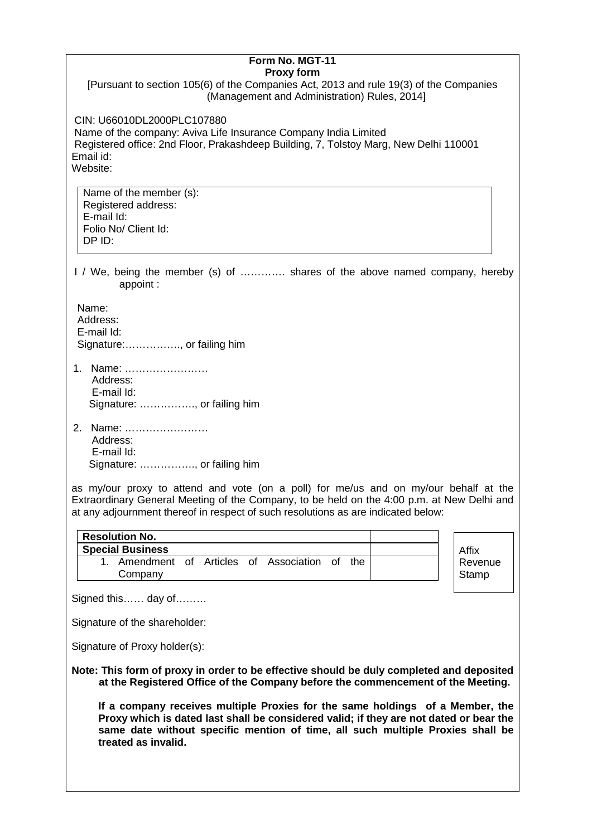| Form No. MGT-11                                                                                                                                                                                                                                                                  |  |  |  |
|----------------------------------------------------------------------------------------------------------------------------------------------------------------------------------------------------------------------------------------------------------------------------------|--|--|--|
| <b>Proxy form</b><br>[Pursuant to section 105(6) of the Companies Act, 2013 and rule 19(3) of the Companies<br>(Management and Administration) Rules, 2014]                                                                                                                      |  |  |  |
| CIN: U66010DL2000PLC107880<br>Name of the company: Aviva Life Insurance Company India Limited<br>Registered office: 2nd Floor, Prakashdeep Building, 7, Tolstoy Marg, New Delhi 110001<br>Email id:<br>Website:                                                                  |  |  |  |
| Name of the member (s):<br>Registered address:<br>E-mail Id:<br>Folio No/ Client Id:<br>DP ID:                                                                                                                                                                                   |  |  |  |
| I / We, being the member (s) of  shares of the above named company, hereby<br>appoint:                                                                                                                                                                                           |  |  |  |
| Name:<br>Address:<br>E-mail Id:<br>Signature:, or failing him                                                                                                                                                                                                                    |  |  |  |
| 1. Name:<br>Address:<br>E-mail Id:<br>Signature: , or failing him                                                                                                                                                                                                                |  |  |  |
| 2. Name:<br>Address:<br>E-mail Id:<br>Signature: , or failing him                                                                                                                                                                                                                |  |  |  |
| as my/our proxy to attend and vote (on a poll) for me/us and on my/our behalf at the<br>Extraordinary General Meeting of the Company, to be held on the 4:00 p.m. at New Delhi and<br>at any adjournment thereof in respect of such resolutions as are indicated below:          |  |  |  |
| <b>Resolution No.</b>                                                                                                                                                                                                                                                            |  |  |  |
| <b>Special Business</b><br>Affix                                                                                                                                                                                                                                                 |  |  |  |
| 1. Amendment of Articles of Association of the<br>Revenue<br>Company<br>Stamp                                                                                                                                                                                                    |  |  |  |
| Signed this day of                                                                                                                                                                                                                                                               |  |  |  |
| Signature of the shareholder:                                                                                                                                                                                                                                                    |  |  |  |
| Signature of Proxy holder(s):                                                                                                                                                                                                                                                    |  |  |  |
| Note: This form of proxy in order to be effective should be duly completed and deposited<br>at the Registered Office of the Company before the commencement of the Meeting.                                                                                                      |  |  |  |
| If a company receives multiple Proxies for the same holdings of a Member, the<br>Proxy which is dated last shall be considered valid; if they are not dated or bear the<br>same date without specific mention of time, all such multiple Proxies shall be<br>treated as invalid. |  |  |  |
|                                                                                                                                                                                                                                                                                  |  |  |  |